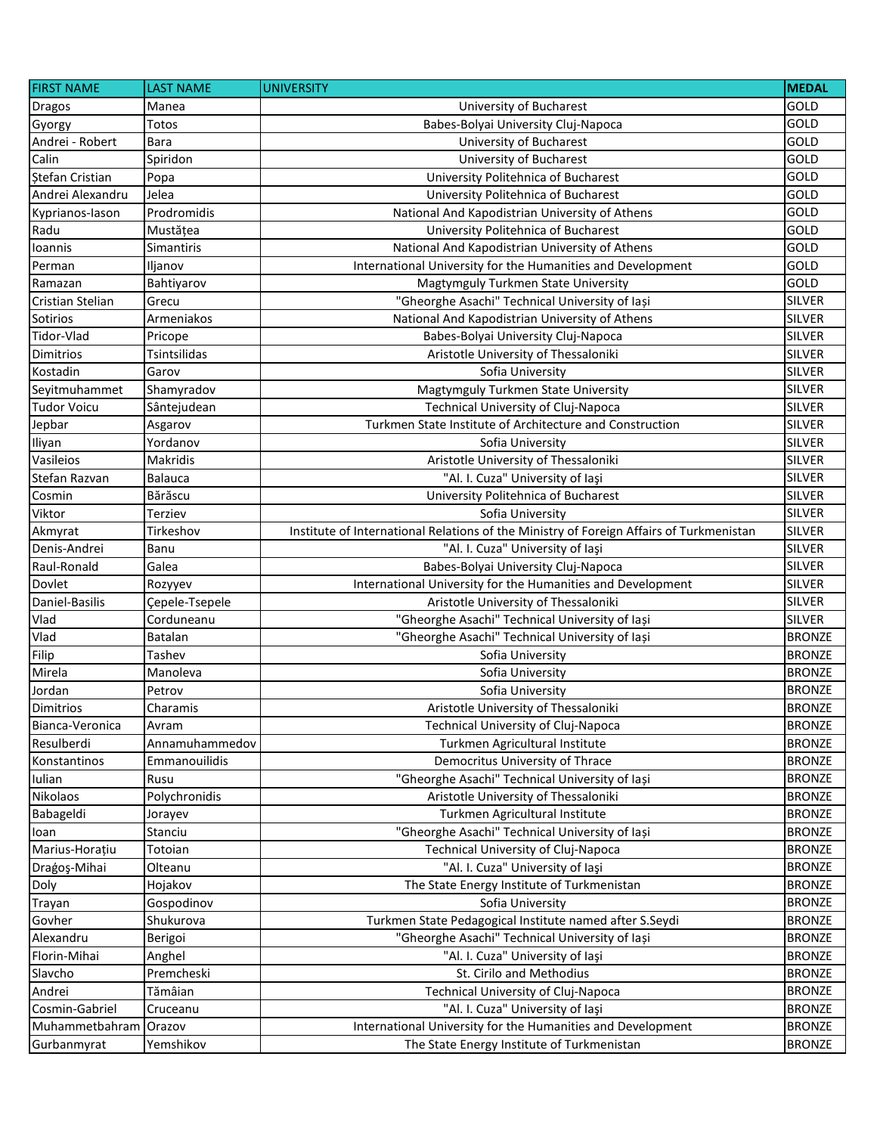| <b>FIRST NAME</b>  | <b>LAST NAME</b> | <b>UNIVERSITY</b>                                                                       | <b>MEDAL</b>  |
|--------------------|------------------|-----------------------------------------------------------------------------------------|---------------|
| <b>Dragos</b>      | Manea            | University of Bucharest                                                                 | GOLD          |
| Gyorgy             | Totos            | Babes-Bolyai University Cluj-Napoca                                                     | <b>GOLD</b>   |
| Andrei - Robert    | <b>Bara</b>      | University of Bucharest                                                                 | GOLD          |
| Calin              | Spiridon         | University of Bucharest                                                                 | <b>GOLD</b>   |
| Stefan Cristian    | Popa             | University Politehnica of Bucharest                                                     | GOLD          |
| Andrei Alexandru   | Jelea            | University Politehnica of Bucharest                                                     | GOLD          |
| Kyprianos-lason    | Prodromidis      | National And Kapodistrian University of Athens                                          | GOLD          |
| Radu               | Mustățea         | University Politehnica of Bucharest                                                     | GOLD          |
| Ioannis            | Simantiris       | National And Kapodistrian University of Athens                                          | <b>GOLD</b>   |
| Perman             | Iljanov          | International University for the Humanities and Development                             | <b>GOLD</b>   |
| Ramazan            | Bahtiyarov       | Magtymguly Turkmen State University                                                     | <b>GOLD</b>   |
| Cristian Stelian   | Grecu            | "Gheorghe Asachi" Technical University of Iași                                          | <b>SILVER</b> |
| Sotirios           | Armeniakos       | National And Kapodistrian University of Athens                                          | <b>SILVER</b> |
| Tidor-Vlad         | Pricope          | Babes-Bolyai University Cluj-Napoca                                                     | <b>SILVER</b> |
| Dimitrios          | Tsintsilidas     | Aristotle University of Thessaloniki                                                    | <b>SILVER</b> |
| Kostadin           | Garov            | Sofia University                                                                        | <b>SILVER</b> |
| Seyitmuhammet      | Shamyradov       | Magtymguly Turkmen State University                                                     | <b>SILVER</b> |
| <b>Tudor Voicu</b> | Sântejudean      | Technical University of Cluj-Napoca                                                     | <b>SILVER</b> |
| Jepbar             | Asgarov          | Turkmen State Institute of Architecture and Construction                                | <b>SILVER</b> |
| Iliyan             | Yordanov         | Sofia University                                                                        | <b>SILVER</b> |
| Vasileios          | Makridis         | Aristotle University of Thessaloniki                                                    | <b>SILVER</b> |
| Stefan Razvan      | <b>Balauca</b>   | "Al. I. Cuza" University of laşi                                                        | <b>SILVER</b> |
| Cosmin             | Bărăscu          | University Politehnica of Bucharest                                                     | <b>SILVER</b> |
| Viktor             | Terziev          | Sofia University                                                                        | <b>SILVER</b> |
| Akmyrat            | Tirkeshov        | Institute of International Relations of the Ministry of Foreign Affairs of Turkmenistan | <b>SILVER</b> |
| Denis-Andrei       | Banu             | "Al. I. Cuza" University of laşi                                                        | <b>SILVER</b> |
| Raul-Ronald        | Galea            | Babes-Bolyai University Cluj-Napoca                                                     | <b>SILVER</b> |
| Dovlet             | Rozyyev          | International University for the Humanities and Development                             | <b>SILVER</b> |
| Daniel-Basilis     | Çepele-Tsepele   | Aristotle University of Thessaloniki                                                    | <b>SILVER</b> |
| Vlad               | Corduneanu       | "Gheorghe Asachi" Technical University of Iași                                          | <b>SILVER</b> |
| Vlad               | Batalan          | "Gheorghe Asachi" Technical University of Iași                                          | <b>BRONZE</b> |
| Filip              | Tashev           | Sofia University                                                                        | <b>BRONZE</b> |
| Mirela             | Manoleva         | Sofia University                                                                        | <b>BRONZE</b> |
| Jordan             | Petrov           | Sofia University                                                                        | <b>BRONZE</b> |
| <b>Dimitrios</b>   | Charamis         | Aristotle University of Thessaloniki                                                    | <b>BRONZE</b> |
| Bianca-Veronica    | Avram            | Technical University of Cluj-Napoca                                                     | <b>BRONZE</b> |
| Resulberdi         | Annamuhammedov   | Turkmen Agricultural Institute                                                          | <b>BRONZE</b> |
| Konstantinos       | Emmanouilidis    | Democritus University of Thrace                                                         | <b>BRONZE</b> |
| Iulian             | Rusu             | "Gheorghe Asachi" Technical University of Iași                                          | <b>BRONZE</b> |
| Nikolaos           | Polychronidis    | Aristotle University of Thessaloniki                                                    | <b>BRONZE</b> |
| Babageldi          | Jorayev          | Turkmen Agricultural Institute                                                          | <b>BRONZE</b> |
| loan               | Stanciu          | "Gheorghe Asachi" Technical University of Iași                                          | <b>BRONZE</b> |
| Marius-Horațiu     | Totoian          | Technical University of Cluj-Napoca                                                     | <b>BRONZE</b> |
| Dragoş-Mihai       | Olteanu          | "Al. I. Cuza" University of laşi                                                        | <b>BRONZE</b> |
| Doly               | Hojakov          | The State Energy Institute of Turkmenistan                                              | <b>BRONZE</b> |
| Trayan             | Gospodinov       | Sofia University                                                                        | <b>BRONZE</b> |
| Govher             | Shukurova        | Turkmen State Pedagogical Institute named after S.Seydi                                 | <b>BRONZE</b> |
| Alexandru          | Berigoi          | "Gheorghe Asachi" Technical University of Iași                                          | <b>BRONZE</b> |
| Florin-Mihai       | Anghel           | "Al. I. Cuza" University of laşi                                                        | <b>BRONZE</b> |
| Slavcho            | Premcheski       | St. Cirilo and Methodius                                                                | <b>BRONZE</b> |
| Andrei             | Tămâian          | Technical University of Cluj-Napoca                                                     | <b>BRONZE</b> |
| Cosmin-Gabriel     | Cruceanu         | "Al. I. Cuza" University of laşi                                                        | <b>BRONZE</b> |
| Muhammetbahram     | Orazov           | International University for the Humanities and Development                             | <b>BRONZE</b> |
| Gurbanmyrat        | Yemshikov        | The State Energy Institute of Turkmenistan                                              | <b>BRONZE</b> |